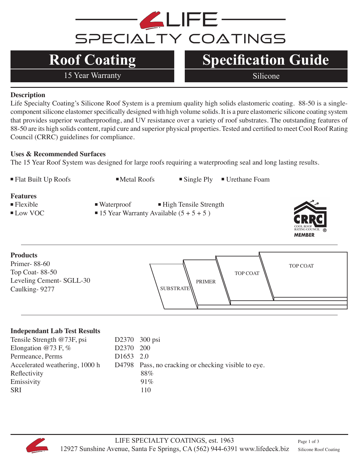

# **Roof Coating**

15 Year Warranty Silicone

### **Specification Guide**

#### **Description**

Life Specialty Coating's Silicone Roof System is a premium quality high solids elastomeric coating. 88-50 is a singlecomponent silicone elastomer specifically designed with high volume solids. It is a pure elastomeric silicone coating system that provides superior weatherproofing, and UV resistance over a variety of roof substrates. The outstanding features of 88-50 are its high solids content, rapid cure and superior physical properties. Tested and certified to meet Cool Roof Rating Council (CRRC) guidelines for compliance.

#### **Uses & Recommended Surfaces**

The 15 Year Roof System was designed for large roofs requiring a waterproofing seal and long lasting results.



#### **Independant Lab Test Results**

| D2370 300 psi         |                                                     |
|-----------------------|-----------------------------------------------------|
| D2370 200             |                                                     |
| D <sub>1653</sub> 2.0 |                                                     |
|                       | D4798 Pass, no cracking or checking visible to eye. |
|                       | 88%                                                 |
|                       | 91%                                                 |
|                       | 110                                                 |
|                       |                                                     |

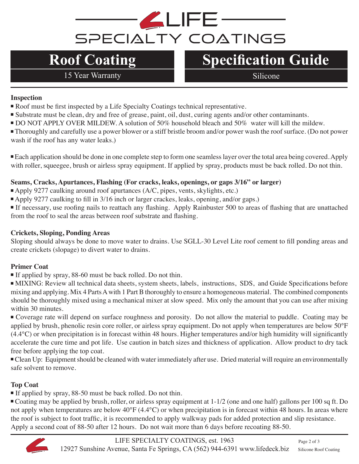# **ALIFE-**SPECIALTY COATINGS

# **Roof Coating**

15 Year Warranty Silicone

## **Specification Guide**

#### **Inspection**

- Roof must be first inspected by a Life Specialty Coatings technical representative.
- Substrate must be clean, dry and free of grease, paint, oil, dust, curing agents and/or other contaminants.
- DO NOT APPLY OVER MILDEW. A solution of 50% household bleach and 50% water will kill the mildew.
- <sup>n</sup> Thoroughly and carefully use a power blower or a stiff bristle broom and/or power wash the roof surface. (Do not power wash if the roof has any water leaks.)

Each application should be done in one complete step to form one seamless layer over the total area being covered. Apply with roller, squeegee, brush or airless spray equipment. If applied by spray, products must be back rolled. Do not thin.

#### **Seams, Cracks, Apurtances, Flashing (For cracks, leaks, openings, or gaps 3/16" or larger)**

- Apply 9277 caulking around roof apurtances (A/C, pipes, vents, skylights, etc.)
- <sup>n</sup> Apply 9277 caulking to fill in 3/16 inch or larger crackes, leaks, opening, and/or gaps.)

<sup>n</sup> If necessary, use roofing nails to reattach any flashing. Apply Rainbuster 500 to areas of flashing that are unattached from the roof to seal the areas between roof substrate and flashing.

#### **Crickets, Sloping, Ponding Areas**

Sloping should always be done to move water to drains. Use SGLL-30 Level Lite roof cement to fill ponding areas and create crickets (slopage) to divert water to drains.

#### **Primer Coat**

If applied by spray, 88-60 must be back rolled. Do not thin.

<sup>n</sup> MIXING: Review all technical data sheets, system sheets, labels, instructions, SDS, and Guide Specifications before mixing and applying. Mix 4 Parts A with 1 Part B thoroughly to ensure a homogeneous material. The combined components should be thoroughly mixed using a mechanical mixer at slow speed. Mix only the amount that you can use after mixing within 30 minutes.

<sup>n</sup>Coverage rate will depend on surface roughness and porosity. Do not allow the material to puddle. Coating may be applied by brush, phenolic resin core roller, or airless spray equipment. Do not apply when temperatures are below 50°F (4.4°C) or when precipitation is in forecast within 48 hours. Higher temperatures and/or high humidity will significantly accelerate the cure time and pot life. Use caution in batch sizes and thickness of application. Allow product to dry tack free before applying the top coat.

<sup>n</sup>Clean Up: Equipment should be cleaned with water immediately after use. Dried material will require an environmentally safe solvent to remove.

#### **Top Coat**

If applied by spray, 88-50 must be back rolled. Do not thin.

<sup>n</sup> Coating may be applied by brush, roller, or airless spray equipment at 1-1/2 (one and one half) gallons per 100 sq ft. Do not apply when temperatures are below 40°F (4.4°C) or when precipitation is in forecast within 48 hours. In areas where the roof is subject to foot traffic, it is recommended to apply walkway pads for added protection and slip resistance. Apply a second coat of 88-50 after 12 hours. Do not wait more than 6 days before recoating 88-50.